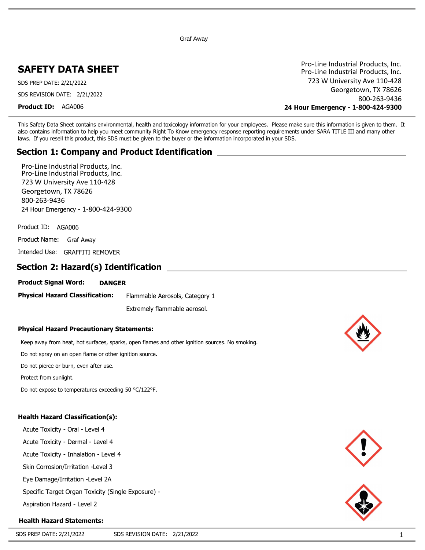Graf Away

# **SAFETY DATA SHEET**

SDS PREP DATE: 2/21/2022 SDS REVISION DATE: 2/21/2022

**Product ID:** AGA006

Pro-Line Industrial Products, Inc. 723 W University Ave 110-428 Georgetown, TX 78626 800-263-9436 **24 Hour Emergency - 1-800-424-9300** Pro-Line Industrial Products, Inc.

This Safety Data Sheet contains environmental, health and toxicology information for your employees. Please make sure this information is given to them. It also contains information to help you meet community Right To Know emergency response reporting requirements under SARA TITLE III and many other laws. If you resell this product, this SDS must be given to the buyer or the information incorporated in your SDS.

## **Section 1: Company and Product Identification**

Pro-Line Industrial Products, Inc. 723 W University Ave 110-428 Georgetown, TX 78626 800-263-9436 24 Hour Emergency - 1-800-424-9300 Pro-Line Industrial Products, Inc.

Product ID: AGA006

Product Name: Graf Away

Intended Use: GRAFFITI REMOVER

## **Section 2: Hazard(s) Identification**

**Product Signal Word: DANGER**

**Physical Hazard Classification:** Flammable Aerosols, Category 1

Extremely flammable aerosol.

#### **Physical Hazard Precautionary Statements:**

Keep away from heat, hot surfaces, sparks, open flames and other ignition sources. No smoking.

Do not spray on an open flame or other ignition source.

Do not pierce or burn, even after use.

Protect from sunlight.

Do not expose to temperatures exceeding 50 °C/122°F.

#### **Health Hazard Classification(s):**

Acute Toxicity - Oral - Level 4 Acute Toxicity - Dermal - Level 4 Acute Toxicity - Inhalation - Level 4 Skin Corrosion/Irritation -Level 3 Eye Damage/Irritation -Level 2A

Specific Target Organ Toxicity (Single Exposure) - **Aspiration Hazard - Level 2** 

# **Health Hazard Statements:**





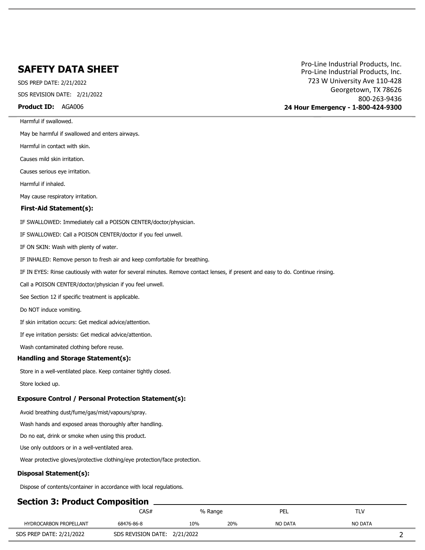SDS PREP DATE: 2/21/2022 SDS REVISION DATE: 2/21/2022

**Product ID:** AGA006

Harmful if swallowed.

May be harmful if swallowed and enters airways.

Harmful in contact with skin.

Causes mild skin irritation.

Causes serious eye irritation.

Harmful if inhaled.

May cause respiratory irritation.

#### **First-Aid Statement(s):**

IF SWALLOWED: Immediately call a POISON CENTER/doctor/physician.

IF SWALLOWED: Call a POISON CENTER/doctor if you feel unwell.

IF ON SKIN: Wash with plenty of water.

IF INHALED: Remove person to fresh air and keep comfortable for breathing.

IF IN EYES: Rinse cautiously with water for several minutes. Remove contact lenses, if present and easy to do. Continue rinsing.

Call a POISON CENTER/doctor/physician if you feel unwell.

See Section 12 if specific treatment is applicable.

Do NOT induce vomiting.

If skin irritation occurs: Get medical advice/attention.

If eye irritation persists: Get medical advice/attention.

Wash contaminated clothing before reuse.

#### **Handling and Storage Statement(s):**

Store in a well-ventilated place. Keep container tightly closed.

Store locked up.

#### **Exposure Control / Personal Protection Statement(s):**

Avoid breathing dust/fume/gas/mist/vapours/spray.

Wash hands and exposed areas thoroughly after handling.

Do no eat, drink or smoke when using this product.

Use only outdoors or in a well-ventilated area.

Wear protective gloves/protective clothing/eye protection/face protection.

#### **Disposal Statement(s):**

Dispose of contents/container in accordance with local regulations.

### **Section 3: Product Composition**

|                          | CAS#                         |     | % Range | PEL     | T V<br>.       |
|--------------------------|------------------------------|-----|---------|---------|----------------|
| HYDROCARBON PROPELLANT   | 68476-86-8                   | 10% | 20%     | NO DATA | <b>NO DATA</b> |
| SDS PREP DATE: 2/21/2022 | SDS REVISION DATE: 2/21/2022 |     |         |         | -              |

Pro-Line Industrial Products, Inc. 723 W University Ave 110-428 Georgetown, TX 78626 800-263-9436 **24 Hour Emergency - 1-800-424-9300** Pro-Line Industrial Products, Inc.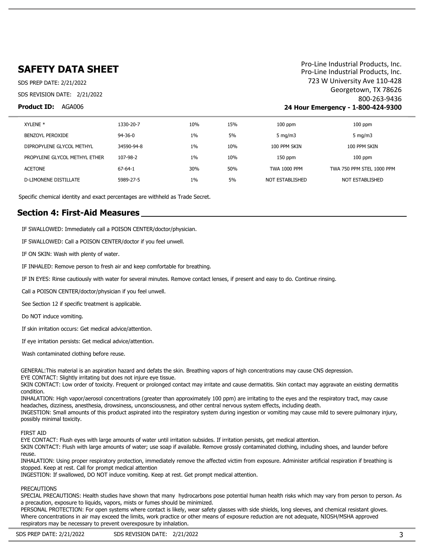SDS PREP DATE: 2/21/2022 SDS REVISION DATE: 2/21/2022

#### **Product ID:** AGA006

Pro-Line Industrial Products, Inc. 723 W University Ave 110-428 Georgetown, TX 78626 800-263-9436 **24 Hour Emergency - 1-800-424-9300** Pro-Line Industrial Products, Inc.

| XYLENE <sup>*</sup>           | 1330-20-7     | 10%   | 15% | $100$ ppm        | $100$ ppm                 |
|-------------------------------|---------------|-------|-----|------------------|---------------------------|
| BENZOYL PEROXIDE              | $94 - 36 - 0$ | $1\%$ | 5%  | $5 \text{ mg/m}$ | 5 mg/m $3$                |
| DIPROPYLENE GLYCOL METHYL     | 34590-94-8    | $1\%$ | 10% | 100 PPM SKIN     | 100 PPM SKIN              |
| PROPYLENE GLYCOL METHYL ETHER | 107-98-2      | $1\%$ | 10% | $150$ ppm        | $100$ ppm                 |
| ACETONE                       | $67 - 64 - 1$ | 30%   | 50% | TWA 1000 PPM     | TWA 750 PPM STEL 1000 PPM |
| D-LIMONENE DISTILLATE         | 5989-27-5     | 1%    | 5%  | NOT ESTABLISHED  | NOT ESTABLISHED           |

Specific chemical identity and exact percentages are withheld as Trade Secret.

### **Section 4: First-Aid Measures**

IF SWALLOWED: Immediately call a POISON CENTER/doctor/physician.

IF SWALLOWED: Call a POISON CENTER/doctor if you feel unwell.

IF ON SKIN: Wash with plenty of water.

IF INHALED: Remove person to fresh air and keep comfortable for breathing.

IF IN EYES: Rinse cautiously with water for several minutes. Remove contact lenses, if present and easy to do. Continue rinsing.

Call a POISON CENTER/doctor/physician if you feel unwell.

See Section 12 if specific treatment is applicable.

Do NOT induce vomiting.

If skin irritation occurs: Get medical advice/attention.

If eye irritation persists: Get medical advice/attention.

Wash contaminated clothing before reuse.

GENERAL:This material is an aspiration hazard and defats the skin. Breathing vapors of high concentrations may cause CNS depression. EYE CONTACT: Slightly irritating but does not injure eye tissue.

SKIN CONTACT: Low order of toxicity. Frequent or prolonged contact may irritate and cause dermatitis. Skin contact may aggravate an existing dermatitis condition.

INHALATION: High vapor/aerosol concentrations (greater than approximately 100 ppm) are irritating to the eyes and the respiratory tract, may cause headaches, dizziness, anesthesia, drowsiness, unconsciousness, and other central nervous system effects, including death.

INGESTION: Small amounts of this product aspirated into the respiratory system during ingestion or vomiting may cause mild to severe pulmonary injury, possibly minimal toxicity.

#### FIRST AID

EYE CONTACT: Flush eyes with large amounts of water until irritation subsides. If irritation persists, get medical attention.

SKIN CONTACT: Flush with large amounts of water; use soap if available. Remove grossly contaminated clothing, including shoes, and launder before reuse.

INHALATION: Using proper respiratory protection, immediately remove the affected victim from exposure. Administer artificial respiration if breathing is stopped. Keep at rest. Call for prompt medical attention

INGESTION: If swallowed, DO NOT induce vomiting. Keep at rest. Get prompt medical attention.

#### PRECAUTIONS

SPECIAL PRECAUTIONS: Health studies have shown that many hydrocarbons pose potential human health risks which may vary from person to person. As a precaution, exposure to liquids, vapors, mists or fumes should be minimized.

PERSONAL PROTECTION: For open systems where contact is likely, wear safety glasses with side shields, long sleeves, and chemical resistant gloves. Where concentrations in air may exceed the limits, work practice or other means of exposure reduction are not adequate, NIOSH/MSHA approved respirators may be necessary to prevent overexposure by inhalation.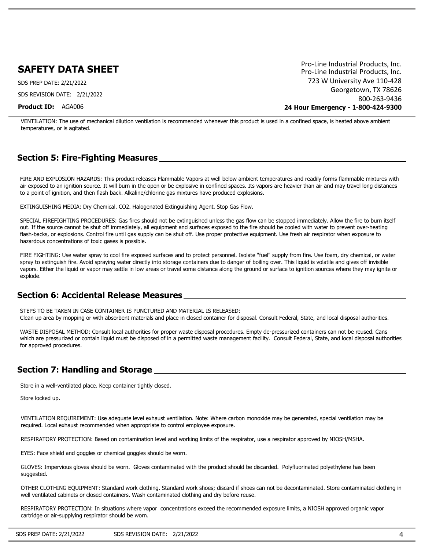SDS PREP DATE: 2/21/2022 SDS REVISION DATE: 2/21/2022

**Product ID:** AGA006

Pro-Line Industrial Products, Inc. 723 W University Ave 110-428 Georgetown, TX 78626 800-263-9436 **24 Hour Emergency - 1-800-424-9300** Pro-Line Industrial Products, Inc.

VENTILATION: The use of mechanical dilution ventilation is recommended whenever this product is used in a confined space, is heated above ambient temperatures, or is agitated.

## **Section 5: Fire-Fighting Measures**

FIRE AND EXPLOSION HAZARDS: This product releases Flammable Vapors at well below ambient temperatures and readily forms flammable mixtures with air exposed to an ignition source. It will burn in the open or be explosive in confined spaces. Its vapors are heavier than air and may travel long distances to a point of ignition, and then flash back. Alkaline/chlorine gas mixtures have produced explosions.

EXTINGUISHING MEDIA: Dry Chemical. CO2. Halogenated Extinguishing Agent. Stop Gas Flow.

SPECIAL FIREFIGHTING PROCEDURES: Gas fires should not be extinguished unless the gas flow can be stopped immediately. Allow the fire to burn itself out. If the source cannot be shut off immediately, all equipment and surfaces exposed to the fire should be cooled with water to prevent over-heating flash-backs, or explosions. Control fire until gas supply can be shut off. Use proper protective equipment. Use fresh air respirator when exposure to hazardous concentrations of toxic gases is possible.

FIRE FIGHTING: Use water spray to cool fire exposed surfaces and to protect personnel. Isolate "fuel" supply from fire. Use foam, dry chemical, or water spray to extinguish fire. Avoid spraying water directly into storage containers due to danger of boiling over. This liquid is volatile and gives off invisible vapors. Either the liquid or vapor may settle in low areas or travel some distance along the ground or surface to ignition sources where they may ignite or explode.

## **Section 6: Accidental Release Measures**

STEPS TO BE TAKEN IN CASE CONTAINER IS PUNCTURED AND MATERIAL IS RELEASED: Clean up area by mopping or with absorbent materials and place in closed container for disposal. Consult Federal, State, and local disposal authorities.

WASTE DISPOSAL METHOD: Consult local authorities for proper waste disposal procedures. Empty de-pressurized containers can not be reused. Cans which are pressurized or contain liquid must be disposed of in a permitted waste management facility. Consult Federal, State, and local disposal authorities for approved procedures.

## **Section 7: Handling and Storage**

Store in a well-ventilated place. Keep container tightly closed.

Store locked up.

VENTILATION REQUIREMENT: Use adequate level exhaust ventilation. Note: Where carbon monoxide may be generated, special ventilation may be required. Local exhaust recommended when appropriate to control employee exposure.

RESPIRATORY PROTECTION: Based on contamination level and working limits of the respirator, use a respirator approved by NIOSH/MSHA.

EYES: Face shield and goggles or chemical goggles should be worn.

GLOVES: Impervious gloves should be worn. Gloves contaminated with the product should be discarded. Polyfluorinated polyethylene has been suggested.

OTHER CLOTHING EQUIPMENT: Standard work clothing. Standard work shoes; discard if shoes can not be decontaminated. Store contaminated clothing in well ventilated cabinets or closed containers. Wash contaminated clothing and dry before reuse.

RESPIRATORY PROTECTION: In situations where vapor concentrations exceed the recommended exposure limits, a NIOSH approved organic vapor cartridge or air-supplying respirator should be worn.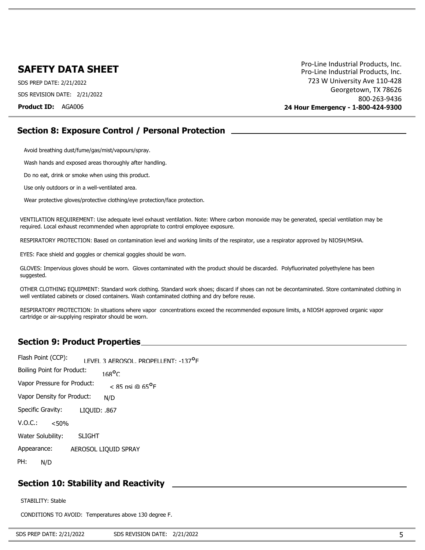SDS PREP DATE: 2/21/2022 SDS REVISION DATE: 2/21/2022

**Product ID:** AGA006

Pro-Line Industrial Products, Inc. 723 W University Ave 110-428 Georgetown, TX 78626 800-263-9436 **24 Hour Emergency - 1-800-424-9300** Pro-Line Industrial Products, Inc.

## **Section 8: Exposure Control / Personal Protection**

Avoid breathing dust/fume/gas/mist/vapours/spray.

Wash hands and exposed areas thoroughly after handling.

Do no eat, drink or smoke when using this product.

Use only outdoors or in a well-ventilated area.

Wear protective gloves/protective clothing/eye protection/face protection.

VENTILATION REQUIREMENT: Use adequate level exhaust ventilation. Note: Where carbon monoxide may be generated, special ventilation may be required. Local exhaust recommended when appropriate to control employee exposure.

RESPIRATORY PROTECTION: Based on contamination level and working limits of the respirator, use a respirator approved by NIOSH/MSHA.

EYES: Face shield and goggles or chemical goggles should be worn.

GLOVES: Impervious gloves should be worn. Gloves contaminated with the product should be discarded. Polyfluorinated polyethylene has been suggested.

OTHER CLOTHING EQUIPMENT: Standard work clothing. Standard work shoes; discard if shoes can not be decontaminated. Store contaminated clothing in well ventilated cabinets or closed containers. Wash contaminated clothing and dry before reuse.

RESPIRATORY PROTECTION: In situations where vapor concentrations exceed the recommended exposure limits, a NIOSH approved organic vapor cartridge or air-supplying respirator should be worn.

### **Section 9: Product Properties**

| Flash Point (CCP):                |               | I FVFI 3 AFROSOL. PROPFI I FNT: -137 <sup>0</sup> F |
|-----------------------------------|---------------|-----------------------------------------------------|
| <b>Boiling Point for Product:</b> |               | $168$ <sup>O</sup> C                                |
| Vapor Pressure for Product:       |               | $<$ 85 nsi @ 65 <sup>0</sup> F                      |
| Vapor Density for Product:        |               | N/D                                                 |
| Specific Gravity:                 | LIQUID: .867  |                                                     |
| V.O.C.:<br>< 50%                  |               |                                                     |
| Water Solubility:                 | <b>SLIGHT</b> |                                                     |
| Appearance:                       |               | AEROSOL LIQUID SPRAY                                |
| PH:<br>N/D                        |               |                                                     |
|                                   |               |                                                     |

## **Section 10: Stability and Reactivity**

STABILITY: Stable

CONDITIONS TO AVOID: Temperatures above 130 degree F.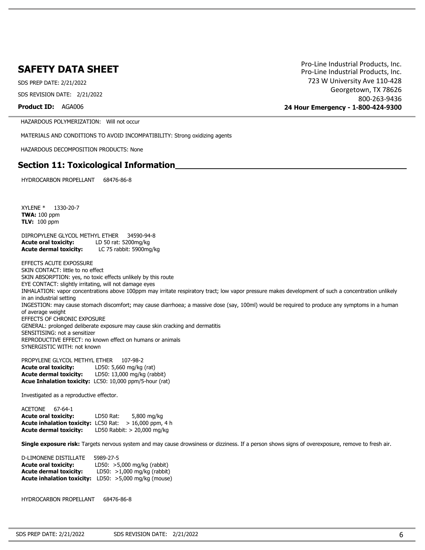SDS PREP DATE: 2/21/2022 SDS REVISION DATE: 2/21/2022

**Product ID:** AGA006

Pro-Line Industrial Products, Inc. 723 W University Ave 110-428 Georgetown, TX 78626 800-263-9436 **24 Hour Emergency - 1-800-424-9300** Pro-Line Industrial Products, Inc.

HAZARDOUS POLYMERIZATION: Will not occur

MATERIALS AND CONDITIONS TO AVOID INCOMPATIBILITY: Strong oxidizing agents

HAZARDOUS DECOMPOSITION PRODUCTS: None

#### **Section 11: Toxicological Information**

HYDROCARBON PROPELLANT 68476-86-8

XYLENE \* 1330-20-7 **TWA:** 100 ppm **TLV:** 100 ppm

DIPROPYLENE GLYCOL METHYL ETHER 34590-94-8 **Acute oral toxicity:** LD 50 rat: 5200mg/kg **Acute dermal toxicity:** LC 75 rabbit: 5900mg/kg

EFFECTS ACUTE EXPOSSURE SKIN CONTACT: little to no effect SKIN ABSORPTION: yes, no toxic effects unlikely by this route EYE CONTACT: slightly irritating, will not damage eyes INHALATION: vapor concentrations above 100ppm may irritate respiratory tract; low vapor pressure makes development of such a concentration unlikely in an industrial setting INGESTION: may cause stomach discomfort; may cause diarrhoea; a massive dose (say, 100ml) would be required to produce any symptoms in a human of average weight EFFECTS OF CHRONIC EXPOSURE GENERAL: prolonged deliberate exposure may cause skin cracking and dermatitis SENSITISING: not a sensitizer REPRODUCTIVE EFFECT: no known effect on humans or animals SYNERGISTIC WITH: not known

PROPYLENE GLYCOL METHYL ETHER 107-98-2 **Acute oral toxicity:** LD50: 5,660 mg/kg (rat) **Acute dermal toxicity:** LD50: 13,000 mg/kg (rabbit) **Acue Inhalation toxicity:** LC50: 10,000 ppm/5-hour (rat)

Investigated as a reproductive effector.

ACETONE 67-64-1 **Acute oral toxicity:** LD50 Rat: 5,800 mg/kg Acute inhalation toxicity: LC50 Rat: > 16,000 ppm, 4 h **Acute dermal toxicity:** LD50 Rabbit: > 20,000 mg/kg

**Single exposure risk:** Targets nervous system and may cause drowsiness or dizziness. If a person shows signs of overexposure, remove to fresh air.

| 5989-27-5                     |
|-------------------------------|
| LD50: $>5,000$ mg/kg (rabbit) |
| LD50: $>1,000$ mg/kg (rabbit) |
| LD50: $>5,000$ mg/kg (mouse)  |
|                               |

HYDROCARBON PROPELLANT 68476-86-8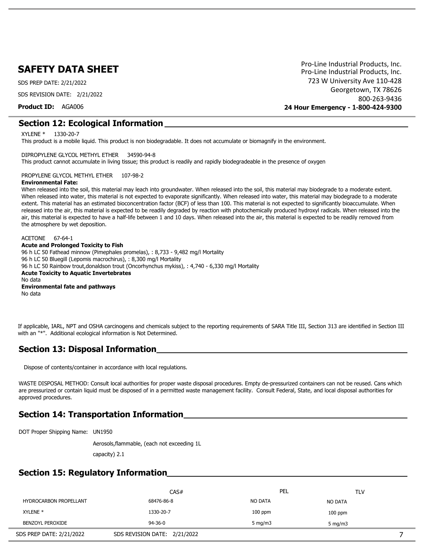SDS PREP DATE: 2/21/2022

SDS REVISION DATE: 2/21/2022

**Product ID:** AGA006

Pro-Line Industrial Products, Inc. 723 W University Ave 110-428 Georgetown, TX 78626 800-263-9436 **24 Hour Emergency - 1-800-424-9300** Pro-Line Industrial Products, Inc.

#### **Section 12: Ecological Information**

XYLENE \* 1330-20-7

This product is a mobile liquid. This product is non biodegradable. It does not accumulate or biomagnify in the environment.

#### DIPROPYLENE GLYCOL METHYL ETHER 34590-94-8

This product cannot accumulate in living tissue; this product is readily and rapidly biodegradeable in the presence of oxygen

PROPYLENE GLYCOL METHYL ETHER 107-98-2

#### **Environmental Fate:**

When released into the soil, this material may leach into groundwater. When released into the soil, this material may biodegrade to a moderate extent. When released into water, this material is not expected to evaporate significantly. When released into water, this material may biodegrade to a moderate extent. This material has an estimated bioconcentration factor (BCF) of less than 100. This material is not expected to significantly bioaccumulate. When released into the air, this material is expected to be readily degraded by reaction with photochemically produced hydroxyl radicals. When released into the air, this material is expected to have a half-life between 1 and 10 days. When released into the air, this material is expected to be readily removed from the atmosphere by wet deposition.

ACETONE 67-64-1 **Acute and Prolonged Toxicity to Fish** 96 h LC 50 Fathead minnow (Pimephales promelas), : 8,733 - 9,482 mg/l Mortality 96 h LC 50 Bluegill (Lepomis macrochirus), : 8,300 mg/l Mortality 96 h LC 50 Rainbow trout,donaldson trout (Oncorhynchus mykiss), : 4,740 - 6,330 mg/l Mortality **Acute Toxicity to Aquatic Invertebrates** No data **Environmental fate and pathways** No data

If applicable, IARL, NPT and OSHA carcinogens and chemicals subject to the reporting requirements of SARA Title III, Section 313 are identified in Section III with an "\*". Additional ecological information is Not Determined.

## **Section 13: Disposal Information**

Dispose of contents/container in accordance with local regulations.

WASTE DISPOSAL METHOD: Consult local authorities for proper waste disposal procedures. Empty de-pressurized containers can not be reused. Cans which are pressurized or contain liquid must be disposed of in a permitted waste management facility. Consult Federal, State, and local disposal authorities for approved procedures.

### **Section 14: Transportation Information**

DOT Proper Shipping Name: UN1950

Aerosols,flammable, (each not exceeding 1L

capacity) 2.1

## **Section 15: Regulatory Information**

|                               | CAS#                         | PEL        | <b>TLV</b>       |  |
|-------------------------------|------------------------------|------------|------------------|--|
| <b>HYDROCARBON PROPELLANT</b> | 68476-86-8                   | NO DATA    | <b>NO DATA</b>   |  |
| XYLENE <sup>*</sup>           | 1330-20-7                    | $100$ ppm  | $100$ ppm        |  |
| BENZOYL PEROXIDE              | $94 - 36 - 0$                | 5 mg/m $3$ | $5 \text{ mg/m}$ |  |
| SDS PREP DATE: 2/21/2022      | SDS REVISION DATE: 2/21/2022 |            |                  |  |